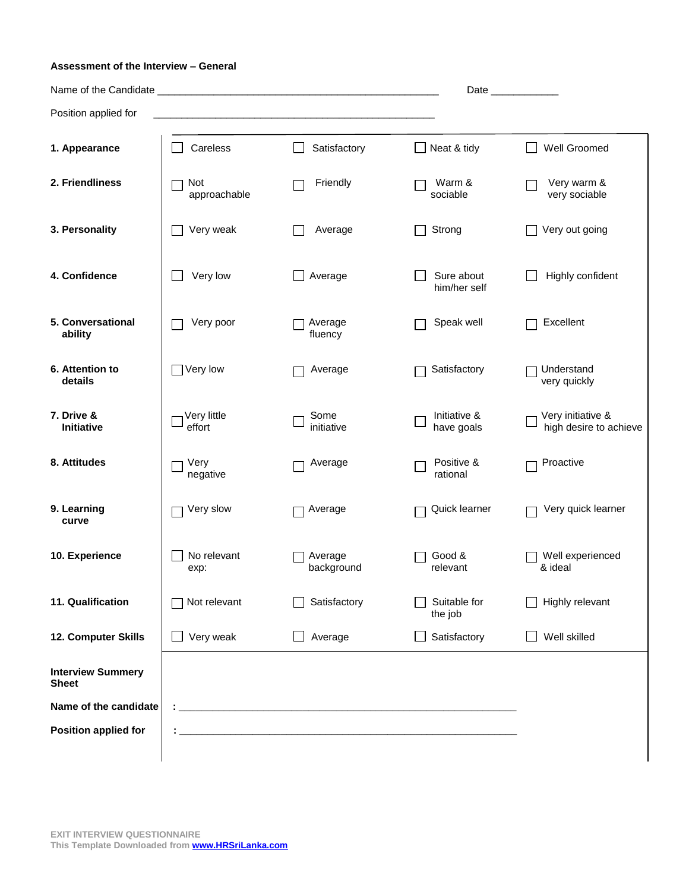## **Assessment of the Interview – General**

|                                          |                       |                       |                            | Date                                        |
|------------------------------------------|-----------------------|-----------------------|----------------------------|---------------------------------------------|
| Position applied for                     |                       |                       |                            |                                             |
| 1. Appearance                            | Careless              | Satisfactory          | $\Box$ Neat & tidy         | Well Groomed                                |
| 2. Friendliness                          | Not<br>approachable   | Friendly              | Warm &<br>sociable         | Very warm &<br>very sociable                |
| 3. Personality                           | Very weak             | Average               | Strong                     | Very out going                              |
| 4. Confidence                            | Very low              | Average               | Sure about<br>him/her self | Highly confident                            |
| 5. Conversational<br>ability             | Very poor             | Average<br>fluency    | Speak well                 | Excellent                                   |
| 6. Attention to<br>details               | Very low              | Average               | Satisfactory               | Understand<br>very quickly                  |
| 7. Drive &<br><b>Initiative</b>          | Very little<br>effort | Some<br>initiative    | Initiative &<br>have goals | Very initiative &<br>high desire to achieve |
| 8. Attitudes                             | Very<br>negative      | Average               | Positive &<br>rational     | Proactive                                   |
| 9. Learning<br>curve                     | Very slow             | Average               | Quick learner              | Very quick learner                          |
| 10. Experience                           | No relevant<br>exp:   | Average<br>background | Good &<br>relevant         | Well experienced<br>& ideal                 |
| 11. Qualification                        | Not relevant          | Satisfactory          | Suitable for<br>the job    | Highly relevant                             |
| 12. Computer Skills                      | Very weak             | Average               | Satisfactory               | Well skilled                                |
| <b>Interview Summery</b><br><b>Sheet</b> |                       |                       |                            |                                             |
| Name of the candidate                    |                       |                       |                            |                                             |
| <b>Position applied for</b>              |                       |                       |                            |                                             |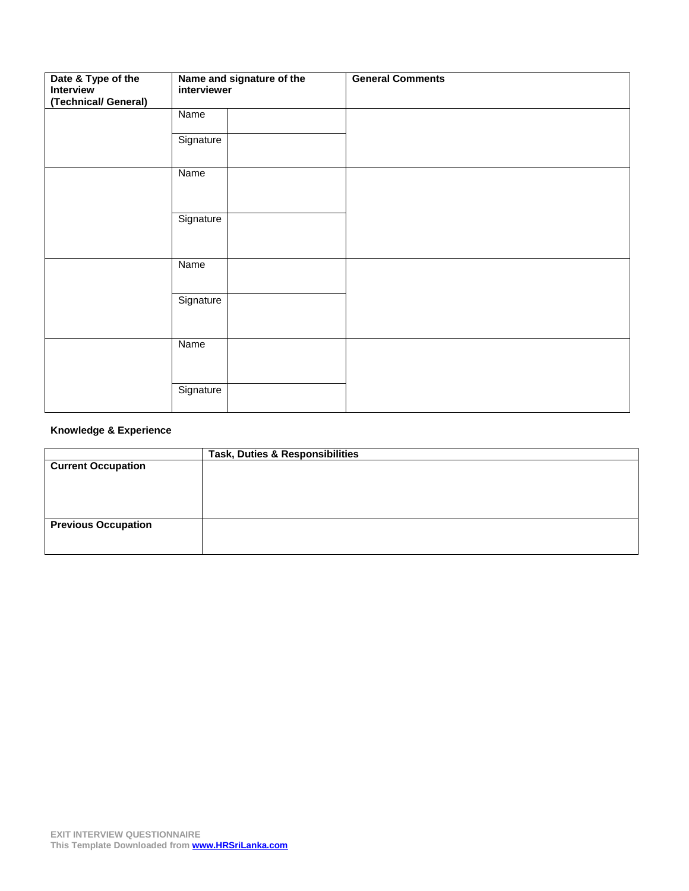| Date & Type of the<br>Interview<br>(Technical/ General) | Name and signature of the<br>interviewer | <b>General Comments</b> |
|---------------------------------------------------------|------------------------------------------|-------------------------|
|                                                         | Name                                     |                         |
|                                                         | Signature                                |                         |
|                                                         | Name                                     |                         |
|                                                         | Signature                                |                         |
|                                                         | Name                                     |                         |
|                                                         | Signature                                |                         |
|                                                         | Name                                     |                         |
|                                                         | Signature                                |                         |

## **Knowledge & Experience**

|                            | Task, Duties & Responsibilities |
|----------------------------|---------------------------------|
| <b>Current Occupation</b>  |                                 |
|                            |                                 |
|                            |                                 |
|                            |                                 |
|                            |                                 |
| <b>Previous Occupation</b> |                                 |
|                            |                                 |
|                            |                                 |